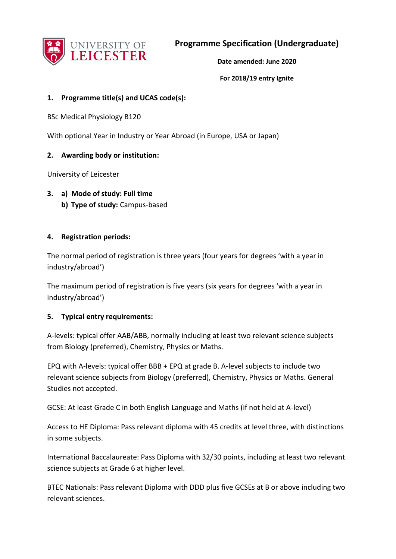

**Programme Specification (Undergraduate)**

**Date amended: June 2020** 

**For 2018/19 entry Ignite** 

### **1. Programme title(s) and UCAS code(s):**

BSc Medical Physiology B120

With optional Year in Industry or Year Abroad (in Europe, USA or Japan)

### **2. Awarding body or institution:**

University of Leicester

**3. a) Mode of study: Full time b) Type of study:** Campus-based

### **4. Registration periods:**

The normal period of registration is three years (four years for degrees 'with a year in industry/abroad')

The maximum period of registration is five years (six years for degrees 'with a year in industry/abroad')

#### **5. Typical entry requirements:**

A-levels: typical offer AAB/ABB, normally including at least two relevant science subjects from Biology (preferred), Chemistry, Physics or Maths.

EPQ with A-levels: typical offer BBB + EPQ at grade B. A-level subjects to include two relevant science subjects from Biology (preferred), Chemistry, Physics or Maths. General Studies not accepted.

GCSE: At least Grade C in both English Language and Maths (if not held at A-level)

Access to HE Diploma: Pass relevant diploma with 45 credits at level three, with distinctions in some subjects.

International Baccalaureate: Pass Diploma with 32/30 points, including at least two relevant science subjects at Grade 6 at higher level.

BTEC Nationals: Pass relevant Diploma with DDD plus five GCSEs at B or above including two relevant sciences.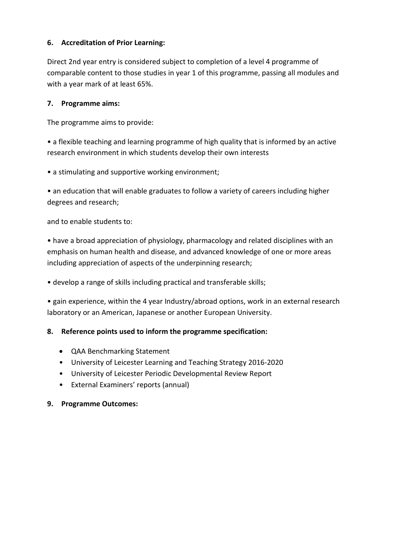## **6. Accreditation of Prior Learning:**

Direct 2nd year entry is considered subject to completion of a level 4 programme of comparable content to those studies in year 1 of this programme, passing all modules and with a year mark of at least 65%.

## **7. Programme aims:**

The programme aims to provide:

• a flexible teaching and learning programme of high quality that is informed by an active research environment in which students develop their own interests

• a stimulating and supportive working environment;

• an education that will enable graduates to follow a variety of careers including higher degrees and research;

and to enable students to:

• have a broad appreciation of physiology, pharmacology and related disciplines with an emphasis on human health and disease, and advanced knowledge of one or more areas including appreciation of aspects of the underpinning research;

• develop a range of skills including practical and transferable skills;

• gain experience, within the 4 year Industry/abroad options, work in an external research laboratory or an American, Japanese or another European University.

### **8. Reference points used to inform the programme specification:**

- QAA Benchmarking Statement
- University of Leicester Learning and Teaching Strategy 2016-2020
- University of Leicester Periodic Developmental Review Report
- External Examiners' reports (annual)

### **9. Programme Outcomes:**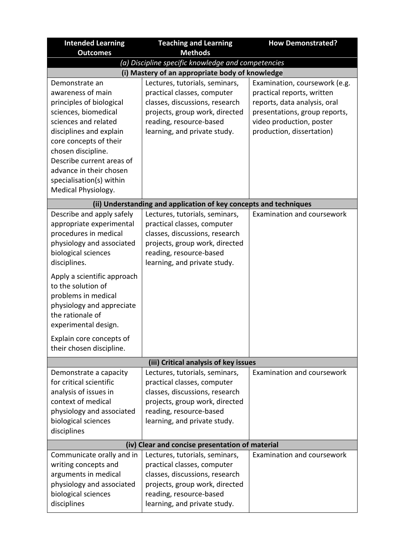| <b>Intended Learning</b>                                                                                                                                                                   | <b>Teaching and Learning</b>                                                                                                                                                                 | <b>How Demonstrated?</b>                                                                                                                                                              |  |
|--------------------------------------------------------------------------------------------------------------------------------------------------------------------------------------------|----------------------------------------------------------------------------------------------------------------------------------------------------------------------------------------------|---------------------------------------------------------------------------------------------------------------------------------------------------------------------------------------|--|
| <b>Outcomes</b>                                                                                                                                                                            | <b>Methods</b>                                                                                                                                                                               |                                                                                                                                                                                       |  |
|                                                                                                                                                                                            | (a) Discipline specific knowledge and competencies                                                                                                                                           |                                                                                                                                                                                       |  |
| (i) Mastery of an appropriate body of knowledge                                                                                                                                            |                                                                                                                                                                                              |                                                                                                                                                                                       |  |
| Demonstrate an<br>awareness of main<br>principles of biological<br>sciences, biomedical<br>sciences and related<br>disciplines and explain<br>core concepts of their<br>chosen discipline. | Lectures, tutorials, seminars,<br>practical classes, computer<br>classes, discussions, research<br>projects, group work, directed<br>reading, resource-based<br>learning, and private study. | Examination, coursework (e.g.<br>practical reports, written<br>reports, data analysis, oral<br>presentations, group reports,<br>video production, poster<br>production, dissertation) |  |
| Describe current areas of<br>advance in their chosen<br>specialisation(s) within<br>Medical Physiology.                                                                                    |                                                                                                                                                                                              |                                                                                                                                                                                       |  |
|                                                                                                                                                                                            | (ii) Understanding and application of key concepts and techniques                                                                                                                            |                                                                                                                                                                                       |  |
| Describe and apply safely<br>appropriate experimental<br>procedures in medical<br>physiology and associated<br>biological sciences<br>disciplines.                                         | Lectures, tutorials, seminars,<br>practical classes, computer<br>classes, discussions, research<br>projects, group work, directed<br>reading, resource-based<br>learning, and private study. | Examination and coursework                                                                                                                                                            |  |
| Apply a scientific approach<br>to the solution of<br>problems in medical<br>physiology and appreciate<br>the rationale of<br>experimental design.                                          |                                                                                                                                                                                              |                                                                                                                                                                                       |  |
| Explain core concepts of<br>their chosen discipline.                                                                                                                                       |                                                                                                                                                                                              |                                                                                                                                                                                       |  |
|                                                                                                                                                                                            | (iii) Critical analysis of key issues                                                                                                                                                        |                                                                                                                                                                                       |  |
| Demonstrate a capacity<br>for critical scientific<br>analysis of issues in<br>context of medical<br>physiology and associated<br>biological sciences<br>disciplines                        | Lectures, tutorials, seminars,<br>practical classes, computer<br>classes, discussions, research<br>projects, group work, directed<br>reading, resource-based<br>learning, and private study. | <b>Examination and coursework</b>                                                                                                                                                     |  |
| (iv) Clear and concise presentation of material                                                                                                                                            |                                                                                                                                                                                              |                                                                                                                                                                                       |  |
| Communicate orally and in<br>writing concepts and<br>arguments in medical<br>physiology and associated<br>biological sciences<br>disciplines                                               | Lectures, tutorials, seminars,<br>practical classes, computer<br>classes, discussions, research<br>projects, group work, directed<br>reading, resource-based<br>learning, and private study. | Examination and coursework                                                                                                                                                            |  |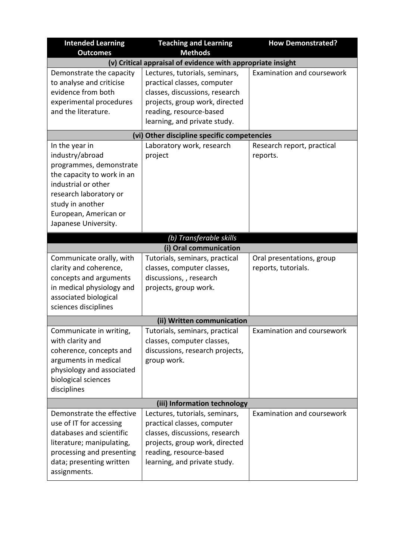| <b>Intended Learning</b>                                    | <b>Teaching and Learning</b>                                  | <b>How Demonstrated?</b>   |  |
|-------------------------------------------------------------|---------------------------------------------------------------|----------------------------|--|
| <b>Outcomes</b>                                             | <b>Methods</b>                                                |                            |  |
| (v) Critical appraisal of evidence with appropriate insight |                                                               |                            |  |
| Demonstrate the capacity<br>to analyse and criticise        | Lectures, tutorials, seminars,                                | Examination and coursework |  |
| evidence from both                                          | practical classes, computer<br>classes, discussions, research |                            |  |
| experimental procedures                                     | projects, group work, directed                                |                            |  |
| and the literature.                                         | reading, resource-based                                       |                            |  |
|                                                             | learning, and private study.                                  |                            |  |
|                                                             | (vi) Other discipline specific competencies                   |                            |  |
| In the year in                                              | Laboratory work, research                                     | Research report, practical |  |
| industry/abroad                                             | project                                                       | reports.                   |  |
| programmes, demonstrate                                     |                                                               |                            |  |
| the capacity to work in an                                  |                                                               |                            |  |
| industrial or other                                         |                                                               |                            |  |
| research laboratory or                                      |                                                               |                            |  |
| study in another                                            |                                                               |                            |  |
| European, American or                                       |                                                               |                            |  |
| Japanese University.                                        |                                                               |                            |  |
|                                                             | (b) Transferable skills                                       |                            |  |
|                                                             | (i) Oral communication                                        |                            |  |
| Communicate orally, with                                    | Tutorials, seminars, practical                                | Oral presentations, group  |  |
| clarity and coherence,                                      | classes, computer classes,                                    | reports, tutorials.        |  |
| concepts and arguments                                      | discussions, , research                                       |                            |  |
| in medical physiology and                                   | projects, group work.                                         |                            |  |
| associated biological                                       |                                                               |                            |  |
| sciences disciplines                                        |                                                               |                            |  |
| (ii) Written communication                                  |                                                               |                            |  |
| Communicate in writing,                                     | Tutorials, seminars, practical                                | Examination and coursework |  |
| with clarity and                                            | classes, computer classes,                                    |                            |  |
| coherence, concepts and                                     | discussions, research projects,                               |                            |  |
| arguments in medical                                        | group work.                                                   |                            |  |
| physiology and associated                                   |                                                               |                            |  |
| biological sciences                                         |                                                               |                            |  |
| disciplines                                                 |                                                               |                            |  |
|                                                             | (iii) Information technology                                  |                            |  |
| Demonstrate the effective                                   | Lectures, tutorials, seminars,                                | Examination and coursework |  |
| use of IT for accessing                                     | practical classes, computer                                   |                            |  |
| databases and scientific                                    | classes, discussions, research                                |                            |  |
| literature; manipulating,                                   | projects, group work, directed                                |                            |  |
| processing and presenting                                   | reading, resource-based                                       |                            |  |
| data; presenting written                                    | learning, and private study.                                  |                            |  |
| assignments.                                                |                                                               |                            |  |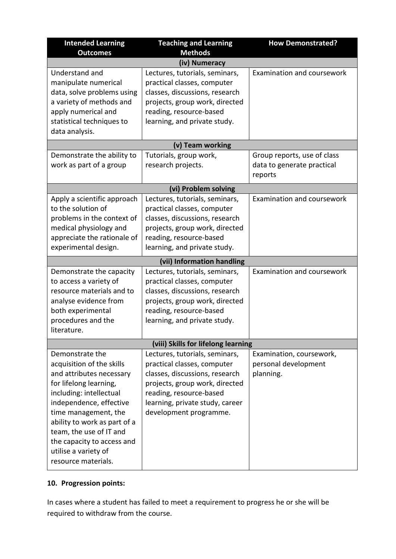| <b>Intended Learning</b><br><b>Outcomes</b>                                                                                                                                                                                                                                                                              | <b>Teaching and Learning</b><br><b>Methods</b>                                                                                                                                                                             | <b>How Demonstrated?</b>                                             |
|--------------------------------------------------------------------------------------------------------------------------------------------------------------------------------------------------------------------------------------------------------------------------------------------------------------------------|----------------------------------------------------------------------------------------------------------------------------------------------------------------------------------------------------------------------------|----------------------------------------------------------------------|
|                                                                                                                                                                                                                                                                                                                          | (iv) Numeracy                                                                                                                                                                                                              |                                                                      |
| Understand and<br>manipulate numerical<br>data, solve problems using<br>a variety of methods and<br>apply numerical and<br>statistical techniques to<br>data analysis.                                                                                                                                                   | Lectures, tutorials, seminars,<br>practical classes, computer<br>classes, discussions, research<br>projects, group work, directed<br>reading, resource-based<br>learning, and private study.                               | Examination and coursework                                           |
|                                                                                                                                                                                                                                                                                                                          | (v) Team working                                                                                                                                                                                                           |                                                                      |
| Demonstrate the ability to<br>work as part of a group                                                                                                                                                                                                                                                                    | Tutorials, group work,<br>research projects.                                                                                                                                                                               | Group reports, use of class<br>data to generate practical<br>reports |
|                                                                                                                                                                                                                                                                                                                          | (vi) Problem solving                                                                                                                                                                                                       |                                                                      |
| Apply a scientific approach<br>to the solution of<br>problems in the context of<br>medical physiology and<br>appreciate the rationale of<br>experimental design.                                                                                                                                                         | Lectures, tutorials, seminars,<br>practical classes, computer<br>classes, discussions, research<br>projects, group work, directed<br>reading, resource-based<br>learning, and private study.<br>(vii) Information handling | Examination and coursework                                           |
| Demonstrate the capacity                                                                                                                                                                                                                                                                                                 | Lectures, tutorials, seminars,                                                                                                                                                                                             | Examination and coursework                                           |
| to access a variety of<br>resource materials and to<br>analyse evidence from<br>both experimental<br>procedures and the<br>literature.                                                                                                                                                                                   | practical classes, computer<br>classes, discussions, research<br>projects, group work, directed<br>reading, resource-based<br>learning, and private study.                                                                 |                                                                      |
|                                                                                                                                                                                                                                                                                                                          | (viii) Skills for lifelong learning                                                                                                                                                                                        |                                                                      |
| Demonstrate the<br>acquisition of the skills<br>and attributes necessary<br>for lifelong learning,<br>including: intellectual<br>independence, effective<br>time management, the<br>ability to work as part of a<br>team, the use of IT and<br>the capacity to access and<br>utilise a variety of<br>resource materials. | Lectures, tutorials, seminars,<br>practical classes, computer<br>classes, discussions, research<br>projects, group work, directed<br>reading, resource-based<br>learning, private study, career<br>development programme.  | Examination, coursework,<br>personal development<br>planning.        |

## **10. Progression points:**

In cases where a student has failed to meet a requirement to progress he or she will be required to withdraw from the course.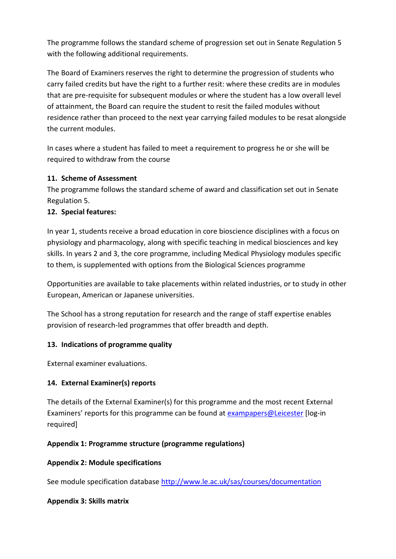The programme follows the standard scheme of progression set out in Senate Regulation 5 with the following additional requirements.

The Board of Examiners reserves the right to determine the progression of students who carry failed credits but have the right to a further resit: where these credits are in modules that are pre-requisite for subsequent modules or where the student has a low overall level of attainment, the Board can require the student to resit the failed modules without residence rather than proceed to the next year carrying failed modules to be resat alongside the current modules.

In cases where a student has failed to meet a requirement to progress he or she will be required to withdraw from the course

# **11. Scheme of Assessment**

The programme follows the standard scheme of award and classification set out in Senate Regulation 5.

## **12. Special features:**

In year 1, students receive a broad education in core bioscience disciplines with a focus on physiology and pharmacology, along with specific teaching in medical biosciences and key skills. In years 2 and 3, the core programme, including Medical Physiology modules specific to them, is supplemented with options from the Biological Sciences programme

Opportunities are available to take placements within related industries, or to study in other European, American or Japanese universities.

The School has a strong reputation for research and the range of staff expertise enables provision of research-led programmes that offer breadth and depth.

### **13. Indications of programme quality**

External examiner evaluations.

# **14. External Examiner(s) reports**

The details of the External Examiner(s) for this programme and the most recent External Examiners' reports for this programme can be found at [exampapers@Leicester](https://exampapers.le.ac.uk/xmlui/) [log-in required]

### **Appendix 1: Programme structure (programme regulations)**

### **Appendix 2: Module specifications**

See module specification database <http://www.le.ac.uk/sas/courses/documentation>

### **Appendix 3: Skills matrix**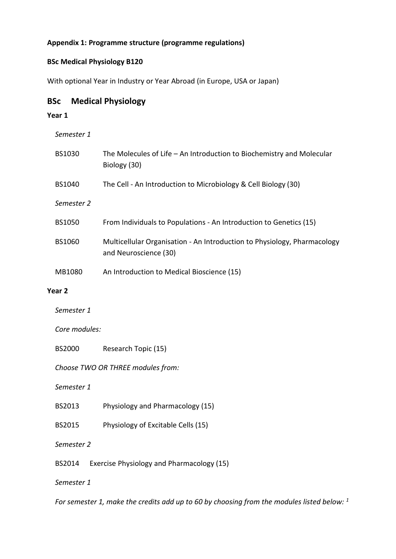## **Appendix 1: Programme structure (programme regulations)**

### **BSc Medical Physiology B120**

With optional Year in Industry or Year Abroad (in Europe, USA or Japan)

## **BSc Medical Physiology**

#### **Year 1**

*Semester 1*

| <b>BS1030</b> | The Molecules of Life $-$ An Introduction to Biochemistry and Molecular<br>Biology (30)           |
|---------------|---------------------------------------------------------------------------------------------------|
| <b>BS1040</b> | The Cell - An Introduction to Microbiology & Cell Biology (30)                                    |
| Semester 2    |                                                                                                   |
| <b>BS1050</b> | From Individuals to Populations - An Introduction to Genetics (15)                                |
| <b>BS1060</b> | Multicellular Organisation - An Introduction to Physiology, Pharmacology<br>and Neuroscience (30) |
| MB1080        | An Introduction to Medical Bioscience (15)                                                        |

#### **Year 2**

*Semester 1* 

*Core modules:*

BS2000 Research Topic (15)

*Choose TWO OR THREE modules from:*

*Semester 1*

- BS2013 Physiology and Pharmacology (15)
- BS2015 Physiology of Excitable Cells (15)
- *Semester 2*
- BS2014 Exercise Physiology and Pharmacology (15)

*Semester 1*

*For semester 1, make the credits add up to 60 by choosing from the modules listed below: 1*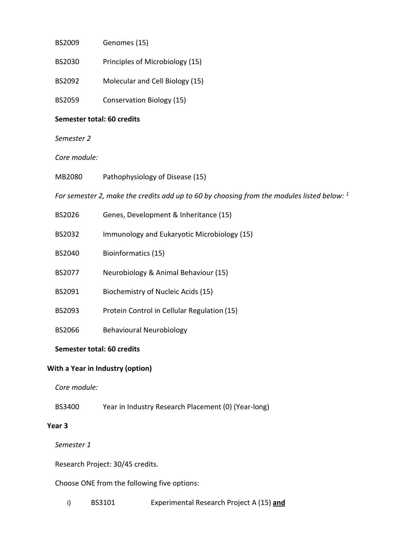| BS2009 | Genomes (15) |  |
|--------|--------------|--|
|        |              |  |

- BS2030 Principles of Microbiology (15)
- BS2092 Molecular and Cell Biology (15)
- BS2059 Conservation Biology (15)

#### **Semester total: 60 credits**

*Semester 2*

### *Core module:*

MB2080 Pathophysiology of Disease (15)

*For semester 2, make the credits add up to 60 by choosing from the modules listed below: <sup>1</sup>*

| BS2026        | Genes, Development & Inheritance (15)       |
|---------------|---------------------------------------------|
| BS2032        | Immunology and Eukaryotic Microbiology (15) |
| BS2040        | Bioinformatics (15)                         |
| <b>BS2077</b> | Neurobiology & Animal Behaviour (15)        |
| BS2091        | Biochemistry of Nucleic Acids (15)          |
| BS2093        | Protein Control in Cellular Regulation (15) |
| BS2066        | <b>Behavioural Neurobiology</b>             |

#### **Semester total: 60 credits**

#### **With a Year in Industry (option)**

*Core module:*

BS3400 Year in Industry Research Placement (0) (Year-long)

### **Year 3**

*Semester 1* 

Research Project: 30/45 credits.

Choose ONE from the following five options:

i) BS3101 Experimental Research Project A (15) **and**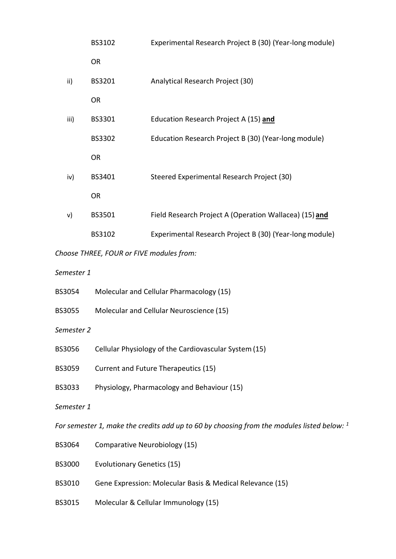|      | BS3102        | Experimental Research Project B (30) (Year-long module) |
|------|---------------|---------------------------------------------------------|
|      | <b>OR</b>     |                                                         |
| ii)  | BS3201        | Analytical Research Project (30)                        |
|      | <b>OR</b>     |                                                         |
| iii) | BS3301        | Education Research Project A (15) and                   |
|      | <b>BS3302</b> | Education Research Project B (30) (Year-long module)    |
|      | <b>OR</b>     |                                                         |
| iv)  | BS3401        | Steered Experimental Research Project (30)              |
|      | <b>OR</b>     |                                                         |
| v)   | BS3501        | Field Research Project A (Operation Wallacea) (15) and  |
|      | BS3102        | Experimental Research Project B (30) (Year-long module) |
|      |               |                                                         |

*Choose THREE, FOUR or FIVE modules from:*

*Semester 1*

| <b>BS3054</b> | Molecular and Cellular Pharmacology (15) |  |
|---------------|------------------------------------------|--|
|---------------|------------------------------------------|--|

- BS3055 Molecular and Cellular Neuroscience (15)
- *Semester 2*
- BS3056 Cellular Physiology of the Cardiovascular System(15)
- BS3059 Current and Future Therapeutics (15)
- BS3033 Physiology, Pharmacology and Behaviour (15)
- *Semester 1*

*For semester 1, make the credits add up to 60 by choosing from the modules listed below: <sup>1</sup>*

- BS3064 Comparative Neurobiology (15)
- BS3000 Evolutionary Genetics (15)
- BS3010 Gene Expression: Molecular Basis & Medical Relevance (15)
- BS3015 Molecular & Cellular Immunology (15)